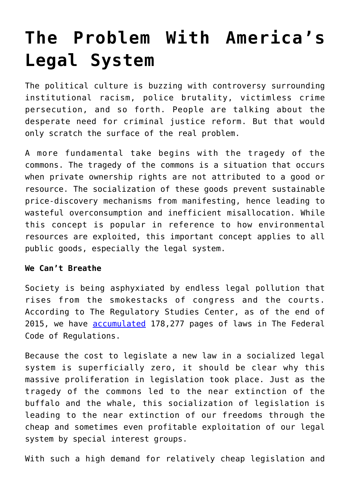## **[The Problem With America's](https://intellectualtakeout.org/2016/09/the-problem-with-americas-legal-system/) [Legal System](https://intellectualtakeout.org/2016/09/the-problem-with-americas-legal-system/)**

The political culture is buzzing with controversy surrounding institutional racism, police brutality, victimless crime persecution, and so forth. People are talking about the desperate need for criminal justice reform. But that would only scratch the surface of the real problem.

A more fundamental take begins with the tragedy of the commons. The tragedy of the commons is a situation that occurs when private ownership rights are not attributed to a good or resource. The socialization of these goods prevent sustainable price-discovery mechanisms from manifesting, hence leading to wasteful overconsumption and inefficient misallocation. While this concept is popular in reference to how environmental resources are exploited, this important concept applies to all public goods, especially the legal system.

## **We Can't Breathe**

Society is being asphyxiated by endless legal pollution that rises from the smokestacks of congress and the courts. According to The Regulatory Studies Center, as of the end of 2015, we have **[accumulated](https://regulatorystudies.columbian.gwu.edu/reg-stats)** 178,277 pages of laws in The Federal Code of Regulations.

Because the cost to legislate a new law in a socialized legal system is superficially zero, it should be clear why this massive proliferation in legislation took place. Just as the tragedy of the commons led to the near extinction of the buffalo and the whale, this socialization of legislation is leading to the near extinction of our freedoms through the cheap and sometimes even profitable exploitation of our legal system by special interest groups.

With such a high demand for relatively cheap legislation and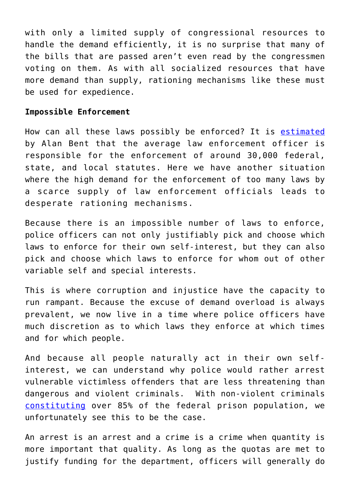with only a limited supply of congressional resources to handle the demand efficiently, it is no surprise that many of the bills that are passed aren't even read by the congressmen voting on them. As with all socialized resources that have more demand than supply, rationing mechanisms like these must be used for expedience.

## **Impossible Enforcement**

How can all these laws possibly be enforced? It is [estimated](https://www.amazon.com/politics-law-enforcement-conflict-communities/dp/0669924865) by Alan Bent that the average law enforcement officer is responsible for the enforcement of around 30,000 federal, state, and local statutes. Here we have another situation where the high demand for the enforcement of too many laws by a scarce supply of law enforcement officials leads to desperate rationing mechanisms.

Because there is an impossible number of laws to enforce, police officers can not only justifiably pick and choose which laws to enforce for their own self-interest, but they can also pick and choose which laws to enforce for whom out of other variable self and special interests.

This is where corruption and injustice have the capacity to run rampant. Because the excuse of demand overload is always prevalent, we now live in a time where police officers have much discretion as to which laws they enforce at which times and for which people.

And because all people naturally act in their own selfinterest, we can understand why police would rather arrest vulnerable victimless offenders that are less threatening than dangerous and violent criminals. With non-violent criminals [constituting](http://www.drugwarfacts.org/cms/Prisons_and_Jails#sthash.V674JHGo.p4JPQtn6.dpbs) over 85% of the federal prison population, we unfortunately see this to be the case.

An arrest is an arrest and a crime is a crime when quantity is more important that quality. As long as the quotas are met to justify funding for the department, officers will generally do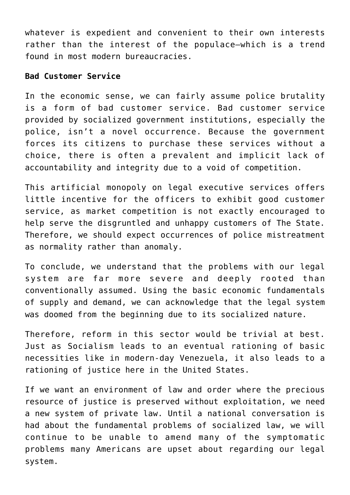whatever is expedient and convenient to their own interests rather than the interest of the populace—which is a trend found in most modern bureaucracies.

## **Bad Customer Service**

In the economic sense, we can fairly assume police brutality is a form of bad customer service. Bad customer service provided by socialized government institutions, especially the police, isn't a novel occurrence. Because the government forces its citizens to purchase these services without a choice, there is often a prevalent and implicit lack of accountability and integrity due to a void of competition.

This artificial monopoly on legal executive services offers little incentive for the officers to exhibit good customer service, as market competition is not exactly encouraged to help serve the disgruntled and unhappy customers of The State. Therefore, we should expect occurrences of police mistreatment as normality rather than anomaly.

To conclude, we understand that the problems with our legal system are far more severe and deeply rooted than conventionally assumed. Using the basic economic fundamentals of supply and demand, we can acknowledge that the legal system was doomed from the beginning due to its socialized nature.

Therefore, reform in this sector would be trivial at best. Just as Socialism leads to an eventual rationing of basic necessities like in modern-day Venezuela, it also leads to a rationing of justice here in the United States.

If we want an environment of law and order where the precious resource of justice is preserved without exploitation, we need a new system of private law. Until a national conversation is had about the fundamental problems of socialized law, we will continue to be unable to amend many of the symptomatic problems many Americans are upset about regarding our legal system.